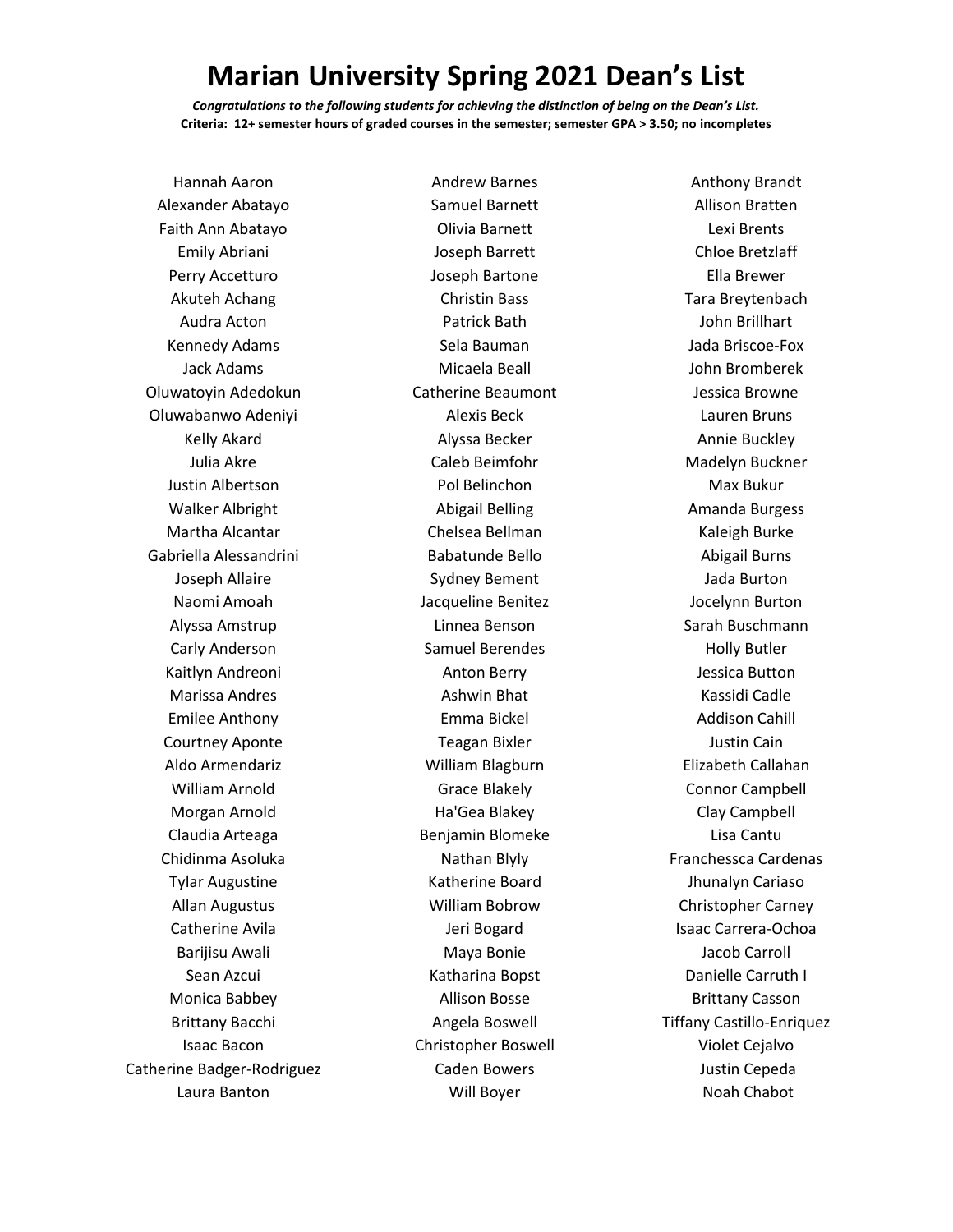## **Marian University Spring 2021 Dean's List**

*Congratulations to the following students for achieving the distinction of being on the Dean's List.* **Criteria: 12+ semester hours of graded courses in the semester; semester GPA > 3.50; no incompletes**

Andrew Barnes

Hannah Aaron Alexander Abatayo Faith Ann Abatayo Emily Abriani Perry Accetturo Akuteh Achang Audra Acton Kennedy Adams Jack Adams Oluwatoyin Adedokun Oluwabanwo Adeniyi Kelly Akard Julia Akre Justin Albertson Walker Albright Martha Alcantar Gabriella Alessandrini Joseph Allaire Naomi Amoah Alyssa Amstrup Carly Anderson Kaitlyn Andreoni Marissa Andres Emilee Anthony Courtney Aponte Aldo Armendariz William Arnold Morgan Arnold Claudia Arteaga Chidinma Asoluka Tylar Augustine Allan Augustus Catherine Avila Barijisu Awali Sean Azcui Monica Babbey Brittany Bacchi Isaac Bacon Catherine Badger-Rodriguez Laura Banton

Samuel Barnett Olivia Barnett Joseph Barrett Joseph Bartone Christin Bass Patrick Bath Sela Bauman Micaela Beall Catherine Beaumont Alexis Beck Alyssa Becker Caleb Beimfohr Pol Belinchon Abigail Belling Chelsea Bellman Babatunde Bello Sydney Bement Jacqueline Benitez Linnea Benson Samuel Berendes Anton Berry Ashwin Bhat Emma Bickel Teagan Bixler William Blagburn Grace Blakely Ha'Gea Blakey Benjamin Blomeke Nathan Blyly Katherine Board William Bobrow Jeri Bogard Maya Bonie Katharina Bopst Allison Bosse Angela Boswell Christopher Boswell Caden Bowers Will Boyer

Anthony Brandt Allison Bratten Lexi Brents Chloe Bretzlaff Ella Brewer Tara Breytenbach John Brillhart Jada Briscoe-Fox John Bromberek Jessica Browne Lauren Bruns Annie Buckley Madelyn Buckner Max Bukur Amanda Burgess Kaleigh Burke Abigail Burns Jada Burton Jocelynn Burton Sarah Buschmann Holly Butler Jessica Button Kassidi Cadle Addison Cahill Justin Cain Elizabeth Callahan Connor Campbell Clay Campbell Lisa Cantu Franchessca Cardenas Jhunalyn Cariaso Christopher Carney Isaac Carrera-Ochoa Jacob Carroll Danielle Carruth I Brittany Casson Tiffany Castillo-Enriquez Violet Cejalvo Justin Cepeda Noah Chabot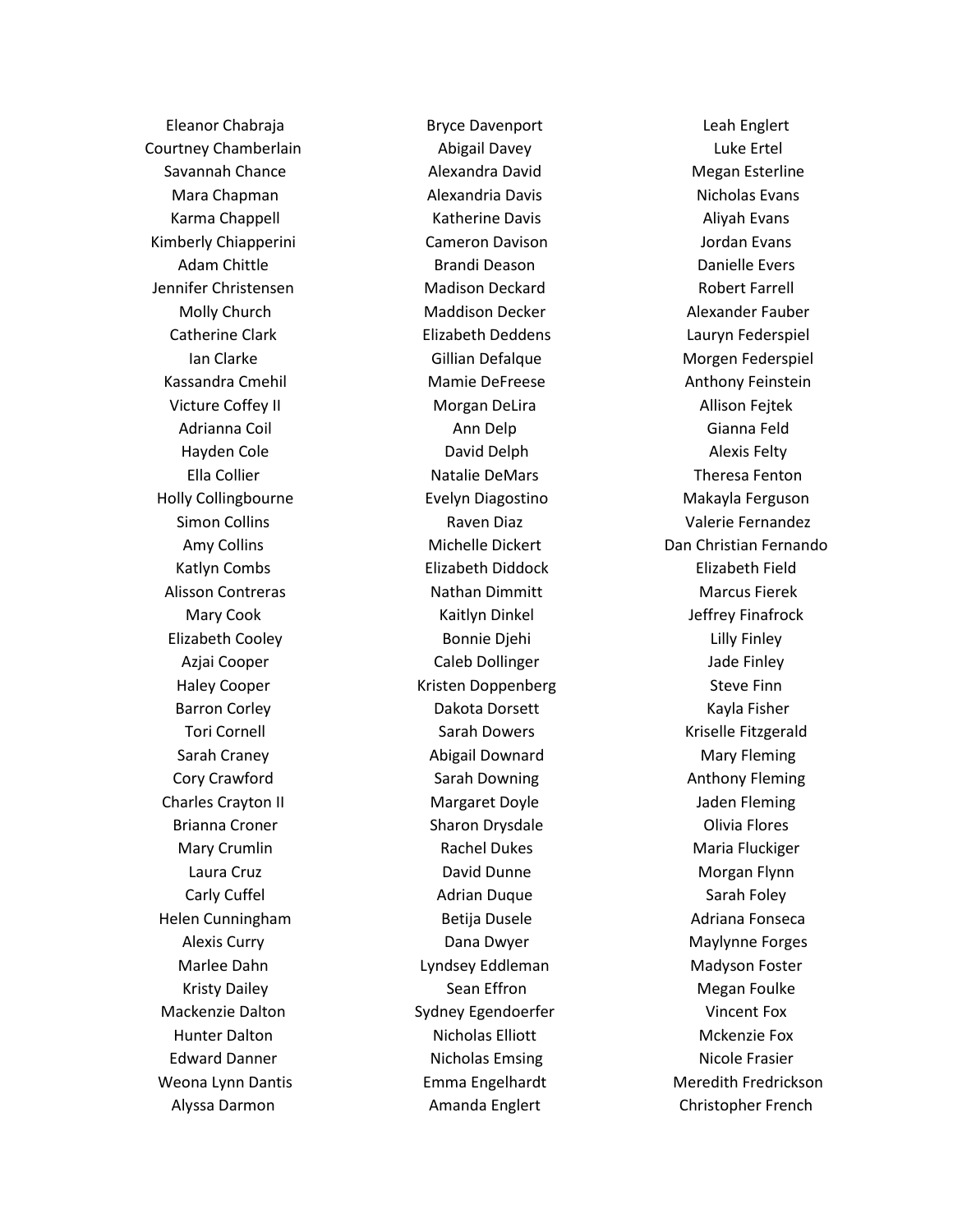Eleanor Chabraja Courtney Chamberlain Savannah Chance Mara Chapman Karma Chappell Kimberly Chiapperini Adam Chittle Jennifer Christensen Molly Church Catherine Clark Ian Clarke Kassandra Cmehil Victure Coffey II Adrianna Coil Hayden Cole Ella Collier Holly Collingbourne Simon Collins Amy Collins Katlyn Combs Alisson Contreras Mary Cook Elizabeth Cooley Azjai Cooper Haley Cooper Barron Corley Tori Cornell Sarah Craney Cory Crawford Charles Crayton II Brianna Croner Mary Crumlin Laura Cruz Carly Cuffel Helen Cunningham Alexis Curry Marlee Dahn Kristy Dailey Mackenzie Dalton Hunter Dalton Edward Danner Weona Lynn Dantis Alyssa Darmon

Bryce Davenport Abigail Davey Alexandra David Alexandria Davis Katherine Davis Cameron Davison Brandi Deason Madison Deckard Maddison Decker Elizabeth Deddens Gillian Defalque Mamie DeFreese Morgan DeLira Ann Delp David Delph Natalie DeMars Evelyn Diagostino Raven Diaz Michelle Dickert Elizabeth Diddock Nathan Dimmitt Kaitlyn Dinkel Bonnie Djehi Caleb Dollinger Kristen Doppenberg Dakota Dorsett Sarah Dowers Abigail Downard Sarah Downing Margaret Doyle Sharon Drysdale Rachel Dukes David Dunne Adrian Duque Betija Dusele Dana Dwyer Lyndsey Eddleman Sean Effron Sydney Egendoerfer Nicholas Elliott Nicholas Emsing Emma Engelhardt Amanda Englert

Leah Englert Luke Ertel Megan Esterline Nicholas Evans Aliyah Evans Jordan Evans Danielle Evers Robert Farrell Alexander Fauber Lauryn Federspiel Morgen Federspiel Anthony Feinstein Allison Fejtek Gianna Feld Alexis Felty Theresa Fenton Makayla Ferguson Valerie Fernandez Dan Christian Fernando Elizabeth Field Marcus Fierek Jeffrey Finafrock Lilly Finley Jade Finley Steve Finn Kayla Fisher Kriselle Fitzgerald Mary Fleming Anthony Fleming Jaden Fleming Olivia Flores Maria Fluckiger Morgan Flynn Sarah Foley Adriana Fonseca Maylynne Forges Madyson Foster Megan Foulke Vincent Fox Mckenzie Fox Nicole Frasier Meredith Fredrickson Christopher French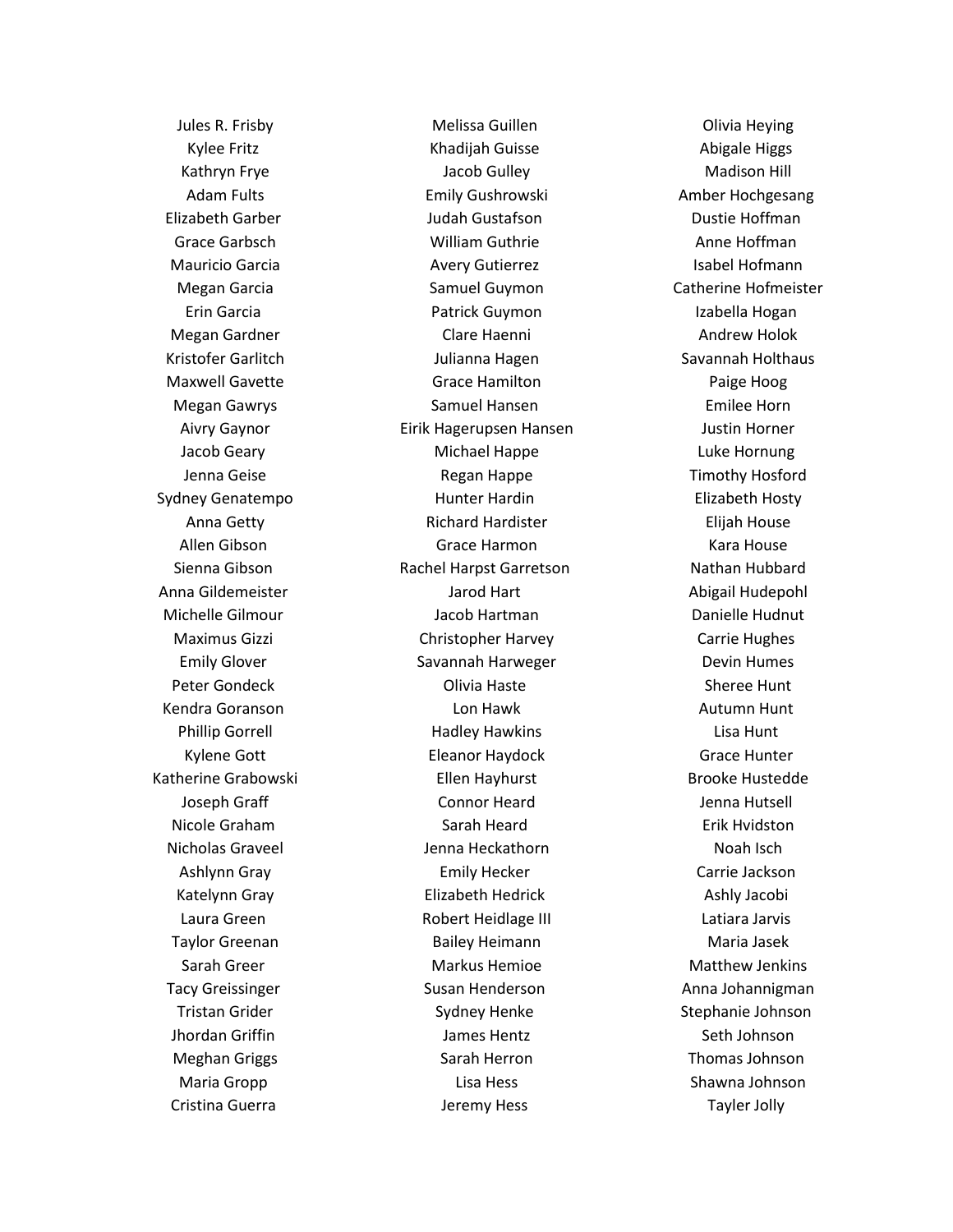Jules R. Frisby Kylee Fritz Kathryn Frye Adam Fults Elizabeth Garber Grace Garbsch Mauricio Garcia Megan Garcia Erin Garcia Megan Gardner Kristofer Garlitch Maxwell Gavette Megan Gawrys Aivry Gaynor Jacob Geary Jenna Geise Sydney Genatempo Anna Getty Allen Gibson Sienna Gibson Anna Gildemeister Michelle Gilmour Maximus Gizzi Emily Glover Peter Gondeck Kendra Goranson Phillip Gorrell Kylene Gott Katherine Grabowski Joseph Graff Nicole Graham Nicholas Graveel Ashlynn Gray Katelynn Gray Laura Green Taylor Greenan Sarah Greer Tacy Greissinger Tristan Grider Jhordan Griffin Meghan Griggs Maria Gropp Cristina Guerra

Melissa Guillen Khadijah Guisse Jacob Gulley Emily Gushrowski Judah Gustafson William Guthrie Avery Gutierrez Samuel Guymon Patrick Guymon Clare Haenni Julianna Hagen Grace Hamilton Samuel Hansen Eirik Hagerupsen Hansen Michael Happe Regan Happe Hunter Hardin Richard Hardister Grace Harmon Rachel Harpst Garretson Jarod Hart Jacob Hartman Christopher Harvey Savannah Harweger Olivia Haste Lon Hawk Hadley Hawkins Eleanor Haydock Ellen Hayhurst Connor Heard Sarah Heard Jenna Heckathorn Emily Hecker Elizabeth Hedrick Robert Heidlage III Bailey Heimann Markus Hemioe Susan Henderson Sydney Henke James Hentz Sarah Herron Lisa Hess Jeremy Hess

Olivia Heying Abigale Higgs Madison Hill Amber Hochgesang Dustie Hoffman Anne Hoffman Isabel Hofmann Catherine Hofmeister Izabella Hogan Andrew Holok Savannah Holthaus Paige Hoog Emilee Horn Justin Horner Luke Hornung Timothy Hosford Elizabeth Hosty Elijah House Kara House Nathan Hubbard Abigail Hudepohl Danielle Hudnut Carrie Hughes Devin Humes Sheree Hunt Autumn Hunt Lisa Hunt Grace Hunter Brooke Hustedde Jenna Hutsell Erik Hvidston Noah Isch Carrie Jackson Ashly Jacobi Latiara Jarvis Maria Jasek Matthew Jenkins Anna Johannigman Stephanie Johnson Seth Johnson Thomas Johnson Shawna Johnson Tayler Jolly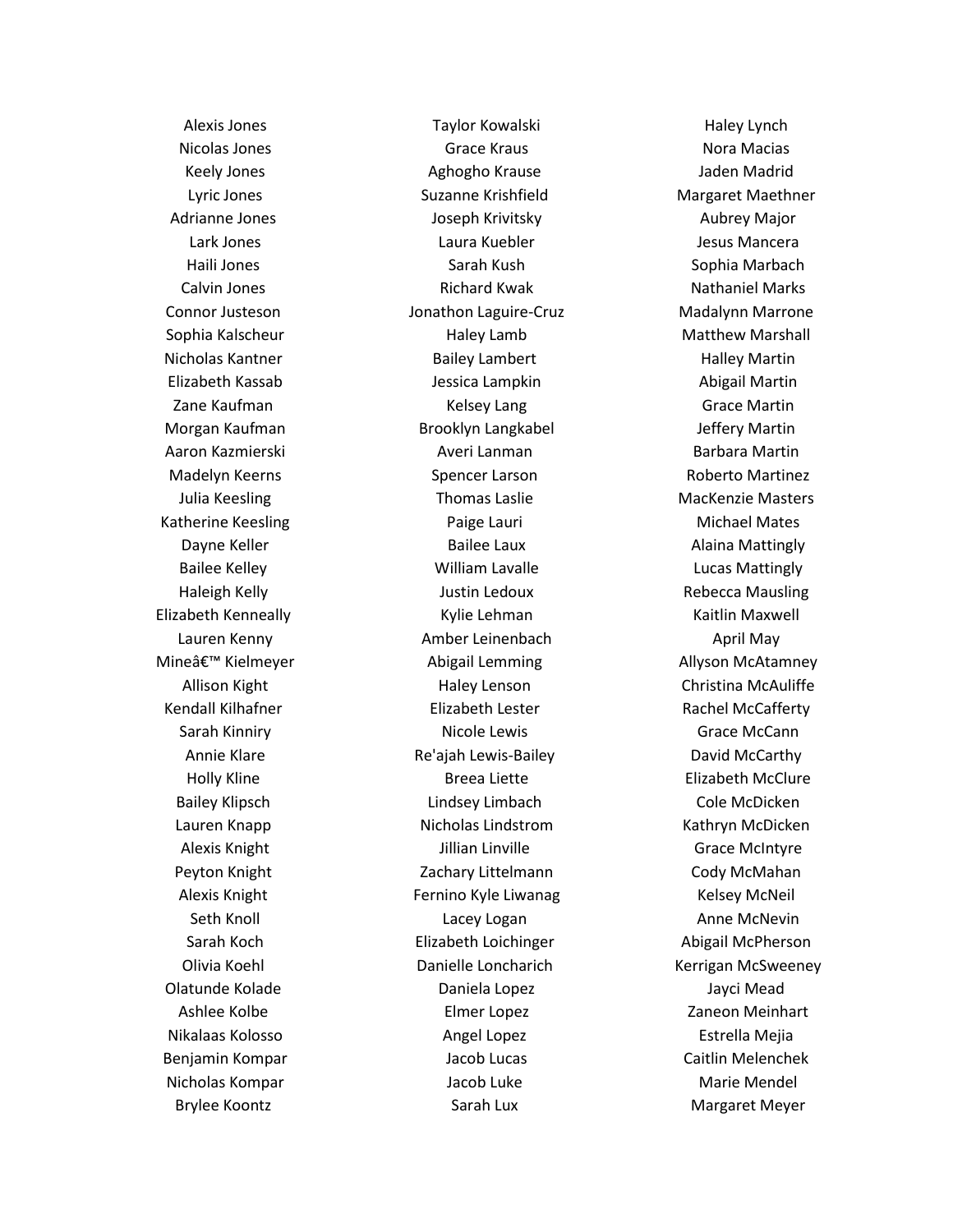Alexis Jones Nicolas Jones Keely Jones Lyric Jones Adrianne Jones Lark Jones Haili Jones Calvin Jones Connor Justeson Sophia Kalscheur Nicholas Kantner Elizabeth Kassab Zane Kaufman Morgan Kaufman Aaron Kazmierski Madelyn Keerns Julia Keesling Katherine Keesling Dayne Keller Bailee Kelley Haleigh Kelly Elizabeth Kenneally Lauren Kenny Mineâ€<sup>™</sup> Kielmeyer Allison Kight Kendall Kilhafner Sarah Kinniry Annie Klare Holly Kline Bailey Klipsch Lauren Knapp Alexis Knight Peyton Knight Alexis Knight Seth Knoll Sarah Koch Olivia Koehl Olatunde Kolade Ashlee Kolbe Nikalaas Kolosso Benjamin Kompar Nicholas Kompar Brylee Koontz

Taylor Kowalski Grace Kraus Aghogho Krause Suzanne Krishfield Joseph Krivitsky Laura Kuebler Sarah Kush Richard Kwak Jonathon Laguire-Cruz Haley Lamb Bailey Lambert Jessica Lampkin Kelsey Lang Brooklyn Langkabel Averi Lanman Spencer Larson Thomas Laslie Paige Lauri Bailee Laux William Lavalle Justin Ledoux Kylie Lehman Amber Leinenbach Abigail Lemming Haley Lenson Elizabeth Lester Nicole Lewis Re'ajah Lewis-Bailey Breea Liette Lindsey Limbach Nicholas Lindstrom Jillian Linville Zachary Littelmann Fernino Kyle Liwanag Lacey Logan Elizabeth Loichinger Danielle Loncharich Daniela Lopez Elmer Lopez Angel Lopez Jacob Lucas Jacob Luke Sarah Lux

Haley Lynch Nora Macias Jaden Madrid Margaret Maethner Aubrey Major Jesus Mancera Sophia Marbach Nathaniel Marks Madalynn Marrone Matthew Marshall Halley Martin Abigail Martin Grace Martin Jeffery Martin Barbara Martin Roberto Martinez MacKenzie Masters Michael Mates Alaina Mattingly Lucas Mattingly Rebecca Mausling Kaitlin Maxwell April May Allyson McAtamney Christina McAuliffe Rachel McCafferty Grace McCann David McCarthy Elizabeth McClure Cole McDicken Kathryn McDicken Grace McIntyre Cody McMahan Kelsey McNeil Anne McNevin Abigail McPherson Kerrigan McSweeney Jayci Mead Zaneon Meinhart Estrella Mejia Caitlin Melenchek Marie Mendel Margaret Meyer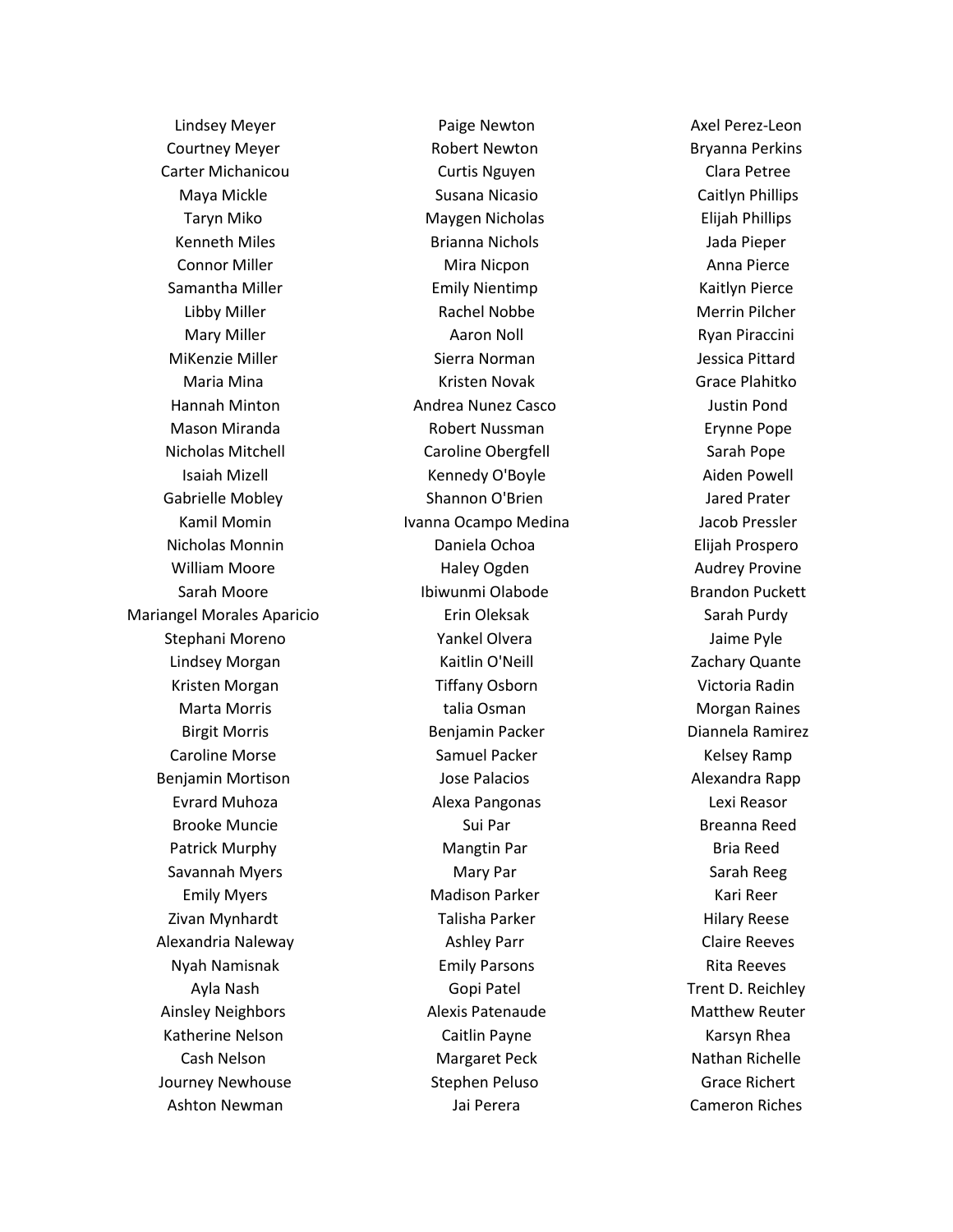Lindsey Meyer Courtney Meyer Carter Michanicou Maya Mickle Taryn Miko Kenneth Miles Connor Miller Samantha Miller Libby Miller Mary Miller MiKenzie Miller Maria Mina Hannah Minton Mason Miranda Nicholas Mitchell Isaiah Mizell Gabrielle Mobley Kamil Momin Nicholas Monnin William Moore Sarah Moore Mariangel Morales Aparicio Stephani Moreno Lindsey Morgan Kristen Morgan Marta Morris Birgit Morris Caroline Morse Benjamin Mortison Evrard Muhoza Brooke Muncie Patrick Murphy Savannah Myers Emily Myers Zivan Mynhardt Alexandria Naleway Nyah Namisnak Ayla Nash Ainsley Neighbors Katherine Nelson Cash Nelson Journey Newhouse Ashton Newman

Paige Newton Robert Newton Curtis Nguyen Susana Nicasio Maygen Nicholas Brianna Nichols Mira Nicpon Emily Nientimp Rachel Nobbe Aaron Noll Sierra Norman Kristen Novak Andrea Nunez Casco Robert Nussman Caroline Obergfell Kennedy O'Boyle Shannon O'Brien Ivanna Ocampo Medina Daniela Ochoa Haley Ogden Ibiwunmi Olabode Erin Oleksak Yankel Olvera Kaitlin O'Neill Tiffany Osborn talia Osman Benjamin Packer Samuel Packer Jose Palacios Alexa Pangonas Sui Par Mangtin Par Mary Par Madison Parker Talisha Parker Ashley Parr Emily Parsons Gopi Patel Alexis Patenaude Caitlin Payne Margaret Peck Stephen Peluso Jai Perera

Axel Perez-Leon Bryanna Perkins Clara Petree Caitlyn Phillips Elijah Phillips Jada Pieper Anna Pierce Kaitlyn Pierce Merrin Pilcher Ryan Piraccini Jessica Pittard Grace Plahitko Justin Pond Erynne Pope Sarah Pope Aiden Powell Jared Prater Jacob Pressler Elijah Prospero Audrey Provine Brandon Puckett Sarah Purdy Jaime Pyle Zachary Quante Victoria Radin Morgan Raines Diannela Ramirez Kelsey Ramp Alexandra Rapp Lexi Reasor Breanna Reed Bria Reed Sarah Reeg Kari Reer Hilary Reese Claire Reeves Rita Reeves Trent D. Reichley Matthew Reuter Karsyn Rhea Nathan Richelle Grace Richert Cameron Riches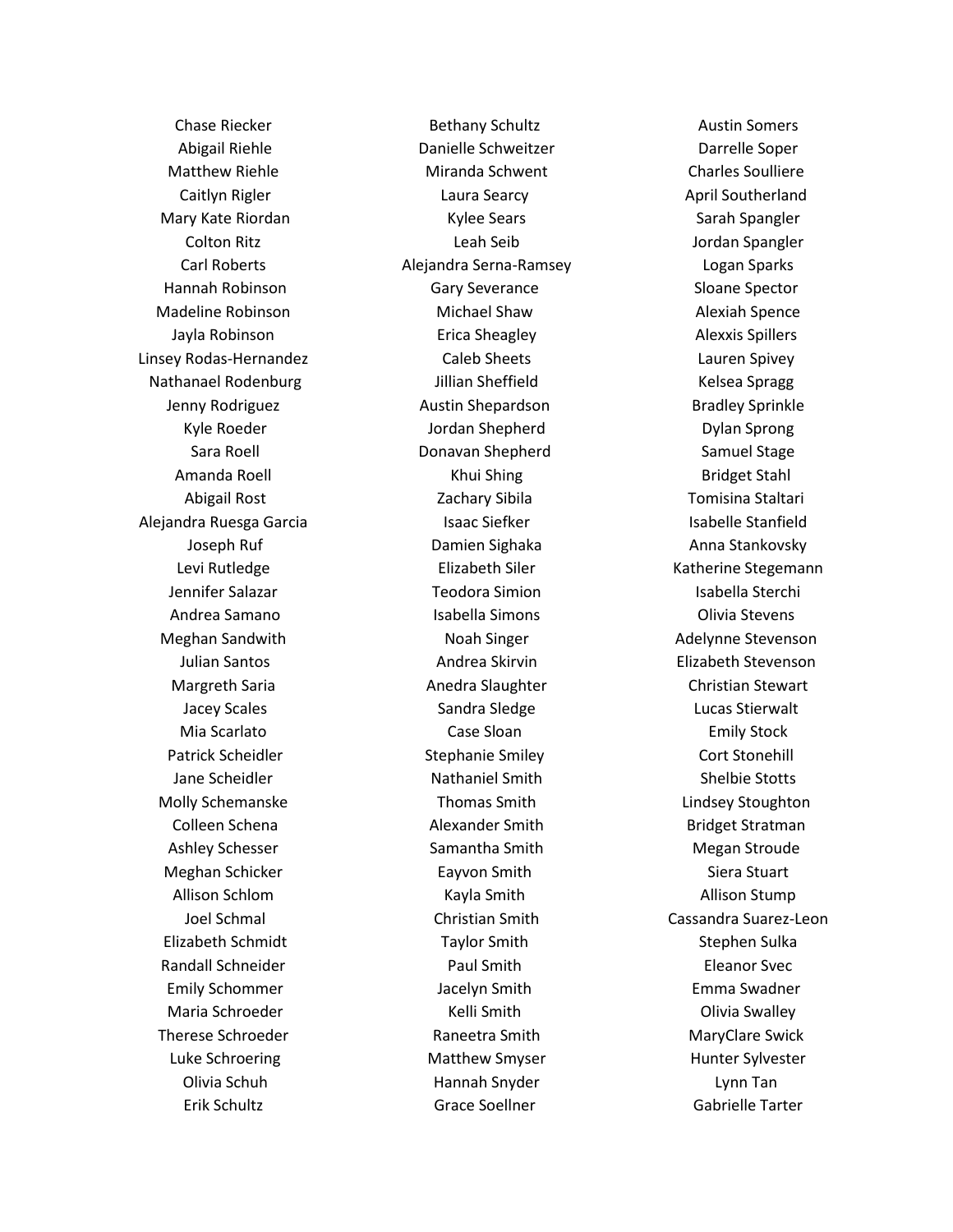Chase Riecker Abigail Riehle Matthew Riehle Caitlyn Rigler Mary Kate Riordan Colton Ritz Carl Roberts Hannah Robinson Madeline Robinson Jayla Robinson Linsey Rodas-Hernandez Nathanael Rodenburg Jenny Rodriguez Kyle Roeder Sara Roell Amanda Roell Abigail Rost Alejandra Ruesga Garcia Joseph Ruf Levi Rutledge Jennifer Salazar Andrea Samano Meghan Sandwith Julian Santos Margreth Saria Jacey Scales Mia Scarlato Patrick Scheidler Jane Scheidler Molly Schemanske Colleen Schena Ashley Schesser Meghan Schicker Allison Schlom Joel Schmal Elizabeth Schmidt Randall Schneider Emily Schommer Maria Schroeder Therese Schroeder Luke Schroering Olivia Schuh Erik Schultz

Bethany Schultz Danielle Schweitzer Miranda Schwent Laura Searcy Kylee Sears Leah Seib Alejandra Serna-Ramsey Gary Severance Michael Shaw Erica Sheagley Caleb Sheets Jillian Sheffield Austin Shepardson Jordan Shepherd Donavan Shepherd Khui Shing Zachary Sibila Isaac Siefker Damien Sighaka Elizabeth Siler Teodora Simion Isabella Simons Noah Singer Andrea Skirvin Anedra Slaughter Sandra Sledge Case Sloan Stephanie Smiley Nathaniel Smith Thomas Smith Alexander Smith Samantha Smith Eayvon Smith Kayla Smith Christian Smith Taylor Smith Paul Smith Jacelyn Smith Kelli Smith Raneetra Smith Matthew Smyser Hannah Snyder Grace Soellner

Austin Somers Darrelle Soper Charles Soulliere April Southerland Sarah Spangler Jordan Spangler Logan Sparks Sloane Spector Alexiah Spence Alexxis Spillers Lauren Spivey Kelsea Spragg Bradley Sprinkle Dylan Sprong Samuel Stage Bridget Stahl Tomisina Staltari Isabelle Stanfield Anna Stankovsky Katherine Stegemann Isabella Sterchi Olivia Stevens Adelynne Stevenson Elizabeth Stevenson Christian Stewart Lucas Stierwalt Emily Stock Cort Stonehill Shelbie Stotts Lindsey Stoughton Bridget Stratman Megan Stroude Siera Stuart Allison Stump Cassandra Suarez-Leon Stephen Sulka Eleanor Svec Emma Swadner Olivia Swalley MaryClare Swick Hunter Sylvester Lynn Tan Gabrielle Tarter